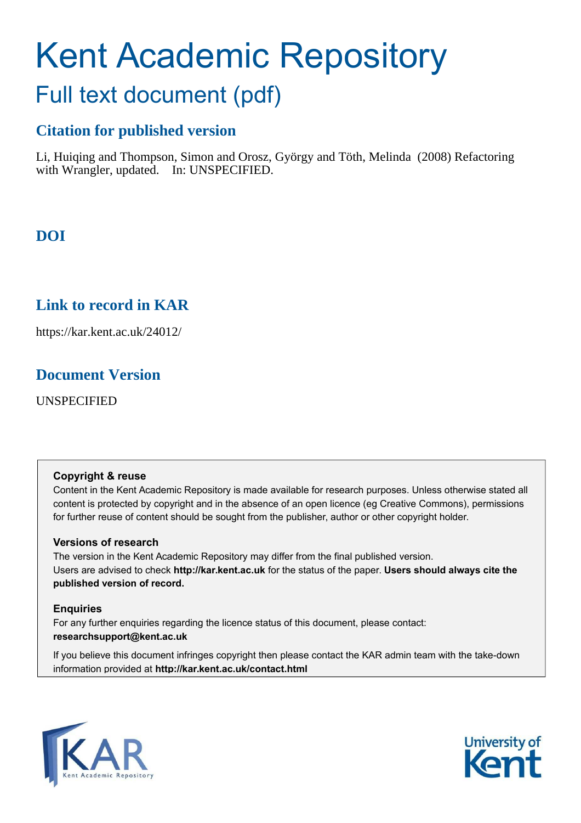# Kent Academic Repository Full text document (pdf)

## **Citation for published version**

Li, Huiqing and Thompson, Simon and Orosz, György and Töth, Melinda (2008) Refactoring with Wrangler, updated. In: UNSPECIFIED.

**DOI**

## **Link to record in KAR**

https://kar.kent.ac.uk/24012/

### <span id="page-0-0"></span>**Document Version**

UNSPECIFIED

#### **Copyright & reuse**

Content in the Kent Academic Repository is made available for research purposes. Unless otherwise stated all content is protected by copyright and in the absence of an open licence (eg Creative Commons), permissions for further reuse of content should be sought from the publisher, author or other copyright holder.

#### **Versions of research**

The version in the Kent Academic Repository may differ from the final published version. Users are advised to check **http://kar.kent.ac.uk** for the status of the paper. **Users should always cite the published version of record.**

#### **Enquiries**

For any further enquiries regarding the licence status of this document, please contact: **researchsupport@kent.ac.uk**

If you believe this document infringes copyright then please contact the KAR admin team with the take-down information provided at **http://kar.kent.ac.uk/contact.html**



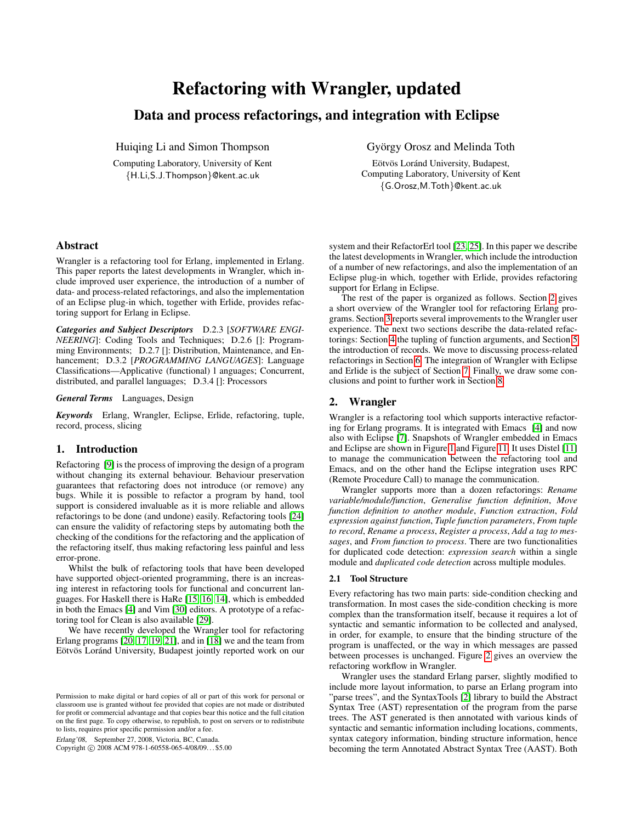## Refactoring with Wrangler, updated

Data and process refactorings, and integration with Eclipse

Huiqing Li and Simon Thompson

Computing Laboratory, University of Kent {H.Li,S.J.Thompson}@kent.ac.uk

#### György Orosz and Melinda Toth

Eötvös Loránd University, Budapest, Computing Laboratory, University of Kent {G.Orosz,M.Toth}@kent.ac.uk

#### Abstract

Wrangler is a refactoring tool for Erlang, implemented in Erlang. This paper reports the latest developments in Wrangler, which include improved user experience, the introduction of a number of data- and process-related refactorings, and also the implementation of an Eclipse plug-in which, together with Erlide, provides refactoring support for Erlang in Eclipse.

*Categories and Subject Descriptors* D.2.3 [*SOFTWARE ENGI-NEERING*]: Coding Tools and Techniques; D.2.6 []: Programming Environments; D.2.7 []: Distribution, Maintenance, and Enhancement; D.3.2 [*PROGRAMMING LANGUAGES*]: Language Classifications—Applicative (functional) l anguages; Concurrent, distributed, and parallel languages; D.3.4 []: Processors

*General Terms* Languages, Design

*Keywords* Erlang, Wrangler, Eclipse, Erlide, refactoring, tuple, record, process, slicing

#### 1. Introduction

Refactoring [\[9\]](#page-9-0) is the process of improving the design of a program without changing its external behaviour. Behaviour preservation guarantees that refactoring does not introduce (or remove) any bugs. While it is possible to refactor a program by hand, tool support is considered invaluable as it is more reliable and allows refactorings to be done (and undone) easily. Refactoring tools [\[24\]](#page-10-0) can ensure the validity of refactoring steps by automating both the checking of the conditions for the refactoring and the application of the refactoring itself, thus making refactoring less painful and less error-prone.

Whilst the bulk of refactoring tools that have been developed have supported object-oriented programming, there is an increasing interest in refactoring tools for functional and concurrent languages. For Haskell there is HaRe [\[15,](#page-10-1) [16,](#page-10-2) [14\]](#page-9-1), which is embedded in both the Emacs [\[4\]](#page-9-2) and Vim [\[30\]](#page-10-3) editors. A prototype of a refactoring tool for Clean is also available [\[29\]](#page-10-4).

We have recently developed the Wrangler tool for refactoring Erlang programs [\[20,](#page-10-5) [17,](#page-10-6) [19,](#page-10-7) [21\]](#page-10-8), and in [\[18\]](#page-10-9) we and the team from Eötvös Loránd University, Budapest jointly reported work on our

Erlang'08, September 27, 2008, Victoria, BC, Canada.

Copyright © 2008 ACM 978-1-60558-065-4/08/09... \$5.00

system and their RefactorErl tool [\[23,](#page-10-10) [25\]](#page-10-11). In this paper we describe the latest developments in Wrangler, which include the introduction of a number of new refactorings, and also the implementation of an Eclipse plug-in which, together with Erlide, provides refactoring support for Erlang in Eclipse.

The rest of the paper is organized as follows. Section [2](#page-0-0) gives a short overview of the Wrangler tool for refactoring Erlang programs. Section [3](#page-2-0) reports several improvements to the Wrangler user experience. The next two sections describe the data-related refactorings: Section [4](#page-2-1) the tupling of function arguments, and Section [5](#page-3-0) the introduction of records. We move to discussing process-related refactorings in Section [6.](#page-4-0) The integration of Wrangler with Eclipse and Erlide is the subject of Section [7.](#page-7-0) Finally, we draw some conclusions and point to further work in Section [8.](#page-9-3)

#### 2. Wrangler

<span id="page-1-0"></span>Wrangler is a refactoring tool which supports interactive refactoring for Erlang programs. It is integrated with Emacs [\[4\]](#page-9-2) and now also with Eclipse [\[7\]](#page-9-4). Snapshots of Wrangler embedded in Emacs and Eclipse are shown in Figure [1](#page-1-0) and Figure [11.](#page-8-0) It uses Distel [\[11\]](#page-9-5) to manage the communication between the refactoring tool and Emacs, and on the other hand the Eclipse integration uses RPC (Remote Procedure Call) to manage the communication.

Wrangler supports more than a dozen refactorings: *Rename variable/module/function*, *Generalise function definition*, *Move function definition to another module*, *Function extraction*, *Fold expression against function*, *Tuple function parameters*, *From tuple to record*, *Rename a process*, *Register a process*, *Add a tag to messages*, and *From function to process*. There are two functionalities for duplicated code detection: *expression search* within a single module and *duplicated code detection* across multiple modules.

#### <span id="page-1-1"></span>2.1 Tool Structure

Every refactoring has two main parts: side-condition checking and transformation. In most cases the side-condition checking is more complex than the transformation itself, because it requires a lot of syntactic and semantic information to be collected and analysed, in order, for example, to ensure that the binding structure of the program is unaffected, or the way in which messages are passed between processes is unchanged. Figure [2](#page-1-1) gives an overview the refactoring workflow in Wrangler.

Wrangler uses the standard Erlang parser, slightly modified to include more layout information, to parse an Erlang program into "parse trees", and the SyntaxTools [\[2\]](#page-9-6) library to build the Abstract Syntax Tree (AST) representation of the program from the parse trees. The AST generated is then annotated with various kinds of syntactic and semantic information including locations, comments, syntax category information, binding structure information, hence becoming the term Annotated Abstract Syntax Tree (AAST). Both

Permission to make digital or hard copies of all or part of this work for personal or classroom use is granted without fee provided that copies are not made or distributed for profit or commercial advantage and that copies bear this notice and the full citation on the first page. To copy otherwise, to republish, to post on servers or to redistribute to lists, requires prior specific permission and/or a fee.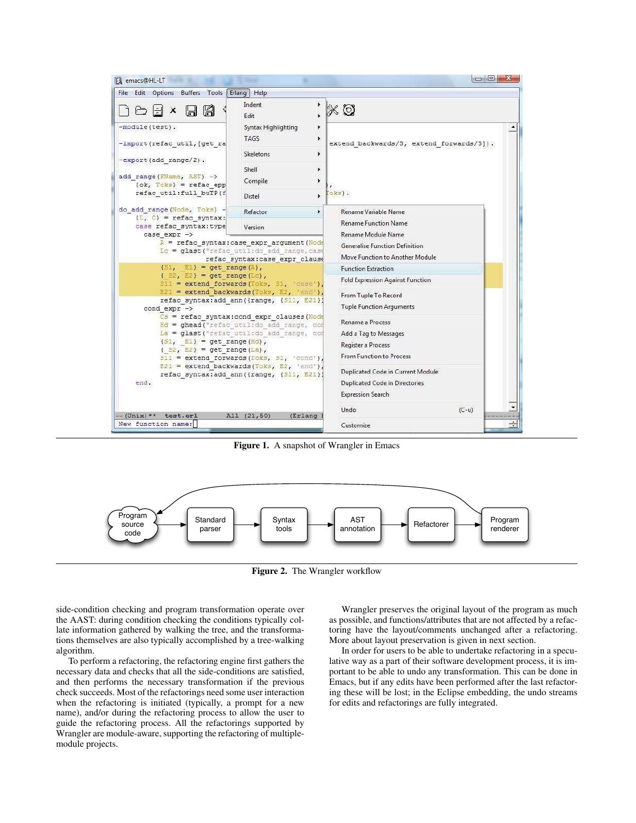<span id="page-2-1"></span><span id="page-2-0"></span>

Figure 1. A snapshot of Wrangler in Emacs



Figure 2. The Wrangler workflow

side-condition checking and program transformation operate over the AAST: during condition checking the conditions typically collate information gathered by walking the tree, and the transformations themselves are also typically accomplished by a tree-walking algorithm.

To perform a refactoring, the refactoring engine first gathers the necessary data and checks that all the side-conditions are satisfied, and then performs the necessary transformation if the previous check succeeds. Most of the refactorings need some user interaction when the refactoring is initiated (typically, a prompt for a new name), and/or during the refactoring process to allow the user to guide the refactoring process. All the refactorings supported by Wrangler are module-aware, supporting the refactoring of multiplemodule projects.

Wrangler preserves the original layout of the program as much as possible, and functions/attributes that are not affected by a refactoring have the layout/comments unchanged after a refactoring. More about layout preservation is given in next section.

<span id="page-2-2"></span>In order for users to be able to undertake refactoring in a speculative way as a part of their software development process, it is important to be able to undo any transformation. This can be done in Emacs, but if any edits have been performed after the last refactoring these will be lost; in the Eclipse embedding, the undo streams for edits and refactorings are fully integrated.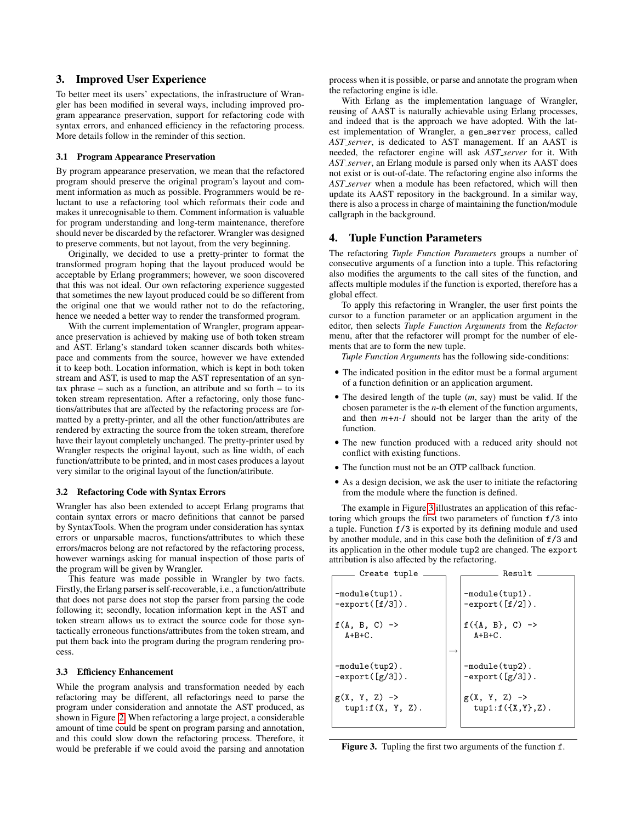#### 3. Improved User Experience

To better meet its users' expectations, the infrastructure of Wrangler has been modified in several ways, including improved program appearance preservation, support for refactoring code with syntax errors, and enhanced efficiency in the refactoring process. More details follow in the reminder of this section.

#### <span id="page-3-0"></span>3.1 Program Appearance Preservation

By program appearance preservation, we mean that the refactored program should preserve the original program's layout and comment information as much as possible. Programmers would be reluctant to use a refactoring tool which reformats their code and makes it unrecognisable to them. Comment information is valuable for program understanding and long-term maintenance, therefore should never be discarded by the refactorer. Wrangler was designed to preserve comments, but not layout, from the very beginning.

Originally, we decided to use a pretty-printer to format the transformed program hoping that the layout produced would be acceptable by Erlang programmers; however, we soon discovered that this was not ideal. Our own refactoring experience suggested that sometimes the new layout produced could be so different from the original one that we would rather not to do the refactoring, hence we needed a better way to render the transformed program.

With the current implementation of Wrangler, program appearance preservation is achieved by making use of both token stream and AST. Erlang's standard token scanner discards both whitespace and comments from the source, however we have extended it to keep both. Location information, which is kept in both token stream and AST, is used to map the AST representation of an syntax phrase – such as a function, an attribute and so forth – to its token stream representation. After a refactoring, only those functions/attributes that are affected by the refactoring process are formatted by a pretty-printer, and all the other function/attributes are rendered by extracting the source from the token stream, therefore have their layout completely unchanged. The pretty-printer used by Wrangler respects the original layout, such as line width, of each function/attribute to be printed, and in most cases produces a layout very similar to the original layout of the function/attribute.

#### 3.2 Refactoring Code with Syntax Errors

Wrangler has also been extended to accept Erlang programs that contain syntax errors or macro definitions that cannot be parsed by SyntaxTools. When the program under consideration has syntax errors or unparsable macros, functions/attributes to which these errors/macros belong are not refactored by the refactoring process, however warnings asking for manual inspection of those parts of the program will be given by Wrangler.

This feature was made possible in Wrangler by two facts. Firstly, the Erlang parser is self-recoverable, i.e., a function/attribute that does not parse does not stop the parser from parsing the code following it; secondly, location information kept in the AST and token stream allows us to extract the source code for those syntactically erroneous functions/attributes from the token stream, and put them back into the program during the program rendering process.

#### 3.3 Efficiency Enhancement

While the program analysis and transformation needed by each refactoring may be different, all refactorings need to parse the program under consideration and annotate the AST produced, as shown in Figure [2.](#page-1-1) When refactoring a large project, a considerable amount of time could be spent on program parsing and annotation, and this could slow down the refactoring process. Therefore, it would be preferable if we could avoid the parsing and annotation process when it is possible, or parse and annotate the program when the refactoring engine is idle.

With Erlang as the implementation language of Wrangler, reusing of AAST is naturally achievable using Erlang processes, and indeed that is the approach we have adopted. With the latest implementation of Wrangler, a gen\_server process, called *AST server*, is dedicated to AST management. If an AAST is needed, the refactorer engine will ask *AST server* for it. With *AST server*, an Erlang module is parsed only when its AAST does not exist or is out-of-date. The refactoring engine also informs the *AST server* when a module has been refactored, which will then update its AAST repository in the background. In a similar way, there is also a process in charge of maintaining the function/module callgraph in the background.

#### 4. Tuple Function Parameters

The refactoring *Tuple Function Parameters* groups a number of consecutive arguments of a function into a tuple. This refactoring also modifies the arguments to the call sites of the function, and affects multiple modules if the function is exported, therefore has a global effect.

<span id="page-3-1"></span>To apply this refactoring in Wrangler, the user first points the cursor to a function parameter or an application argument in the editor, then selects *Tuple Function Arguments* from the *Refactor* menu, after that the refactorer will prompt for the number of elements that are to form the new tuple.

*Tuple Function Arguments* has the following side-conditions:

- The indicated position in the editor must be a formal argument of a function definition or an application argument.
- The desired length of the tuple (*m*, say) must be valid. If the chosen parameter is the *n*-th element of the function arguments, and then *m+n-1* should not be larger than the arity of the function.
- The new function produced with a reduced arity should not conflict with existing functions.
- <span id="page-3-2"></span>• The function must not be an OTP callback function.
- As a design decision, we ask the user to initiate the refactoring from the module where the function is defined.

The example in Figure [3](#page-2-2) illustrates an application of this refactoring which groups the first two parameters of function f/3 into a tuple. Function f/3 is exported by its defining module and used by another module, and in this case both the definition of f/3 and its application in the other module tup2 are changed. The export attribution is also affected by the refactoring.

| Create tuple                        | Result                           |
|-------------------------------------|----------------------------------|
| $\neg \text{module}(\text{tup1}).$  | $\lnot$ module $(\text{tup1})$ . |
| $-export([f/3]).$                   | $-$ export $([f/2])$ .           |
| $f(A, B, C)$ ->                     | $f(\{A, B\}, C) \rightarrow$     |
| $A+B+C$ .                           | $A+B+C$ .                        |
|                                     |                                  |
| $\neg \text{module}(\text{tup2})$ . | $\lnot$ module $(\text{tup2})$ . |
| $-export([g/3])$ .                  | $-export([g/3])$ .               |
| $g(X, Y, Z) \rightarrow$            | $g(X, Y, Z) \rightarrow$         |
| $tup1:f(X, Y, Z)$ .                 | $tup1:f({X,Y},Z)$ .              |
|                                     |                                  |

Figure 3. Tupling the first two arguments of the function f.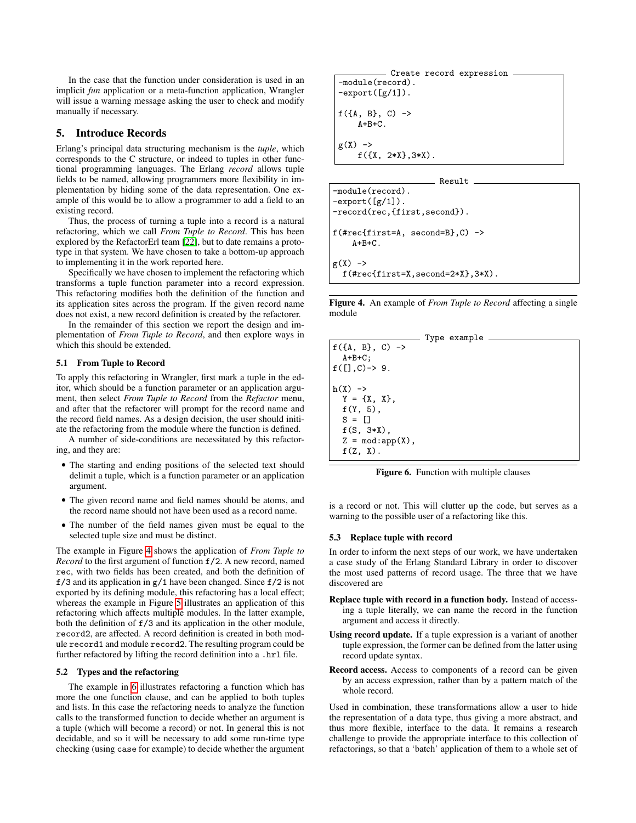In the case that the function under consideration is used in an implicit *fun* application or a meta-function application, Wrangler will issue a warning message asking the user to check and modify manually if necessary.

#### 5. Introduce Records

Erlang's principal data structuring mechanism is the *tuple*, which corresponds to the C structure, or indeed to tuples in other functional programming languages. The Erlang *record* allows tuple fields to be named, allowing programmers more flexibility in implementation by hiding some of the data representation. One example of this would be to allow a programmer to add a field to an existing record.

Thus, the process of turning a tuple into a record is a natural refactoring, which we call *From Tuple to Record*. This has been explored by the RefactorErl team [\[22\]](#page-10-12), but to date remains a prototype in that system. We have chosen to take a bottom-up approach to implementing it in the work reported here.

<span id="page-4-1"></span>Specifically we have chosen to implement the refactoring which transforms a tuple function parameter into a record expression. This refactoring modifies both the definition of the function and its application sites across the program. If the given record name does not exist, a new record definition is created by the refactorer.

<span id="page-4-0"></span>In the remainder of this section we report the design and implementation of *From Tuple to Record*, and then explore ways in which this should be extended.

#### 5.1 From Tuple to Record

To apply this refactoring in Wrangler, first mark a tuple in the editor, which should be a function parameter or an application argument, then select *From Tuple to Record* from the *Refactor* menu, and after that the refactorer will prompt for the record name and the record field names. As a design decision, the user should initiate the refactoring from the module where the function is defined.

A number of side-conditions are necessitated by this refactoring, and they are:

- The starting and ending positions of the selected text should delimit a tuple, which is a function parameter or an application argument.
- The given record name and field names should be atoms, and the record name should not have been used as a record name.
- The number of the field names given must be equal to the selected tuple size and must be distinct.

The example in Figure [4](#page-3-1) shows the application of *From Tuple to Record* to the first argument of function  $f/2$ . A new record, named rec, with two fields has been created, and both the definition of f/3 and its application in g/1 have been changed. Since f/2 is not exported by its defining module, this refactoring has a local effect; whereas the example in Figure [5](#page-4-1) illustrates an application of this refactoring which affects multiple modules. In the latter example, both the definition of f/3 and its application in the other module, record2, are affected. A record definition is created in both module record1 and module record2. The resulting program could be further refactored by lifting the record definition into a .hrl file.

#### 5.2 Types and the refactoring

The example in [6](#page-3-2) illustrates refactoring a function which has more the one function clause, and can be applied to both tuples and lists. In this case the refactoring needs to analyze the function calls to the transformed function to decide whether an argument is a tuple (which will become a record) or not. In general this is not decidable, and so it will be necessary to add some run-time type checking (using case for example) to decide whether the argument

Create record expression -module(record). -export([g/1]).  $f(\{A, B\}, C) \rightarrow$  $A+B+C$ .  $g(X)$  ->  $f({X, 2*X}, 3*X).$ 

```
Result
-module(record).
-export([g/1]).
-record(rec,{first,second}).
f(#rec{first=A, second=B},C) ->
    A+B+C.
g(X) ->
  f(#rec{first=X,second=2*X},3*X).
```
Figure 4. An example of *From Tuple to Record* affecting a single module

|                                            | Type example |  |
|--------------------------------------------|--------------|--|
| $ f(\{A, B\}, C) \rightarrow$<br>$A+B+C$ ; |              |  |
| $f([],C) \rightarrow 9.$                   |              |  |
| $h(X) \rightarrow$                         |              |  |
| $Y = \{X, X\},$                            |              |  |
| $f(Y, 5)$ ,                                |              |  |
| $S = \Box$                                 |              |  |
| $f(S, 3*X)$ ,                              |              |  |
| $Z = mod:app(X)$ ,                         |              |  |
| $f(Z, X)$ .                                |              |  |
|                                            |              |  |

<span id="page-4-2"></span>Figure 6. Function with multiple clauses

is a record or not. This will clutter up the code, but serves as a warning to the possible user of a refactoring like this.

#### 5.3 Replace tuple with record

In order to inform the next steps of our work, we have undertaken a case study of the Erlang Standard Library in order to discover the most used patterns of record usage. The three that we have discovered are

- Replace tuple with record in a function body. Instead of accessing a tuple literally, we can name the record in the function argument and access it directly.
- Using record update. If a tuple expression is a variant of another tuple expression, the former can be defined from the latter using record update syntax.
- <span id="page-4-3"></span>Record access. Access to components of a record can be given by an access expression, rather than by a pattern match of the whole record.

Used in combination, these transformations allow a user to hide the representation of a data type, thus giving a more abstract, and thus more flexible, interface to the data. It remains a research challenge to provide the appropriate interface to this collection of refactorings, so that a 'batch' application of them to a whole set of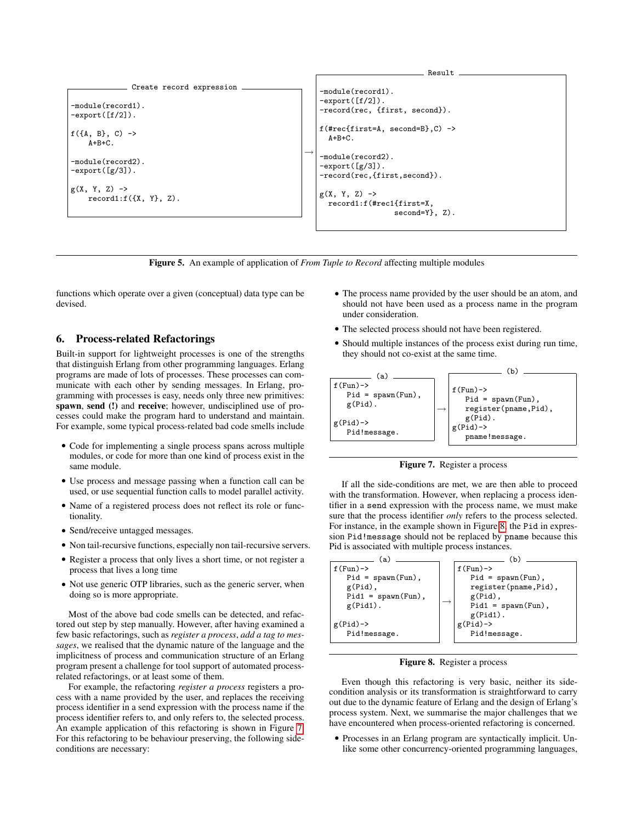

Figure 5. An example of application of *From Tuple to Record* affecting multiple modules

functions which operate over a given (conceptual) data type can be devised.

#### 6. Process-related Refactorings

Built-in support for lightweight processes is one of the strengths that distinguish Erlang from other programming languages. Erlang programs are made of lots of processes. These processes can communicate with each other by sending messages. In Erlang, programming with processes is easy, needs only three new primitives: spawn, send (!) and receive; however, undisciplined use of processes could make the program hard to understand and maintain. For example, some typical process-related bad code smells include

- Code for implementing a single process spans across multiple modules, or code for more than one kind of process exist in the same module.
- Use process and message passing when a function call can be used, or use sequential function calls to model parallel activity.
- Name of a registered process does not reflect its role or functionality.
- Send/receive untagged messages.
- Non tail-recursive functions, especially non tail-recursive servers.
- Register a process that only lives a short time, or not register a process that lives a long time
- Not use generic OTP libraries, such as the generic server, when doing so is more appropriate.

Most of the above bad code smells can be detected, and refactored out step by step manually. However, after having examined a few basic refactorings, such as *register a process*, *add a tag to messages*, we realised that the dynamic nature of the language and the implicitness of process and communication structure of an Erlang program present a challenge for tool support of automated processrelated refactorings, or at least some of them.

For example, the refactoring *register a process* registers a process with a name provided by the user, and replaces the receiving process identifier in a send expression with the process name if the process identifier refers to, and only refers to, the selected process. An example application of this refactoring is shown in Figure [7.](#page-4-2) For this refactoring to be behaviour preserving, the following sideconditions are necessary:

- The process name provided by the user should be an atom, and should not have been used as a process name in the program under consideration.
- The selected process should not have been registered.
- Should multiple instances of the process exist during run time, they should not co-exist at the same time.



Figure 7. Register a process

If all the side-conditions are met, we are then able to proceed with the transformation. However, when replacing a process identifier in a send expression with the process name, we must make sure that the process identifier *only* refers to the process selected. For instance, in the example shown in Figure [8,](#page-4-3) the Pid in expression Pid!message should not be replaced by pname because this Pid is associated with multiple process instances.

| ίa                   | (b)                   |
|----------------------|-----------------------|
| $f(Fun)$ ->          | $f$ (Fun) ->          |
| $Pid = spam(Fun)$ ,  | $Pid = spam(Fun)$ ,   |
| $g(Pid)$ ,           | register(pname, Pid), |
| $Pid1 = spam(Fun)$ , | $g(Pid)$ ,            |
| $g(Pid1)$ .          | $Pid1 = spam(Fun)$ ,  |
|                      | $g(Pid1)$ .           |
| $g(Pid)$ ->          | $g(Pid)$ ->           |
| Pid!message.         | Pid!message.          |
|                      |                       |

Figure 8. Register a process

Even though this refactoring is very basic, neither its sidecondition analysis or its transformation is straightforward to carry out due to the dynamic feature of Erlang and the design of Erlang's process system. Next, we summarise the major challenges that we have encountered when process-oriented refactoring is concerned.

• Processes in an Erlang program are syntactically implicit. Unlike some other concurrency-oriented programming languages,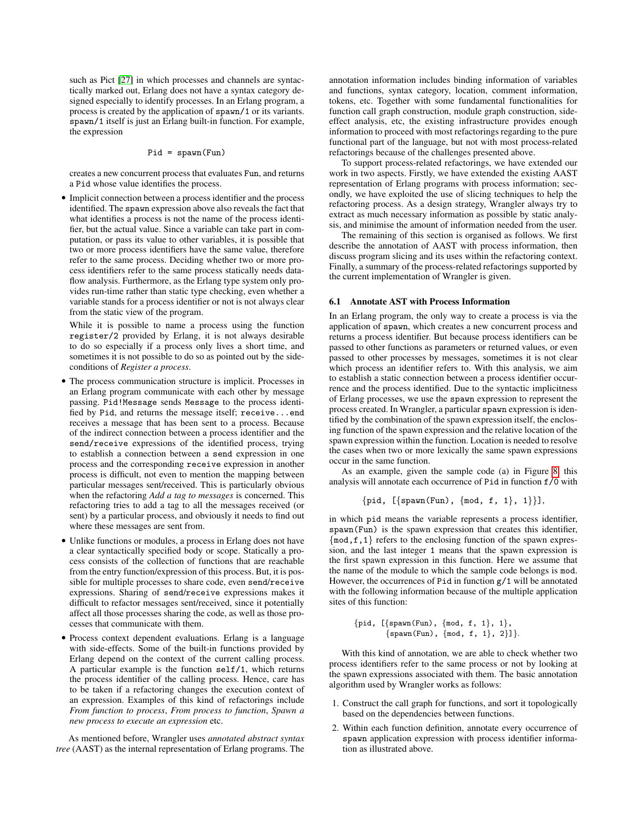such as Pict [\[27\]](#page-10-13) in which processes and channels are syntactically marked out, Erlang does not have a syntax category designed especially to identify processes. In an Erlang program, a process is created by the application of spawn/1 or its variants. spawn/1 itself is just an Erlang built-in function. For example, the expression

#### Pid = spawn(Fun)

creates a new concurrent process that evaluates Fun, and returns a Pid whose value identifies the process.

• Implicit connection between a process identifier and the process identified. The spawn expression above also reveals the fact that what identifies a process is not the name of the process identifier, but the actual value. Since a variable can take part in computation, or pass its value to other variables, it is possible that two or more process identifiers have the same value, therefore refer to the same process. Deciding whether two or more process identifiers refer to the same process statically needs dataflow analysis. Furthermore, as the Erlang type system only provides run-time rather than static type checking, even whether a variable stands for a process identifier or not is not always clear from the static view of the program.

While it is possible to name a process using the function register/2 provided by Erlang, it is not always desirable to do so especially if a process only lives a short time, and sometimes it is not possible to do so as pointed out by the sideconditions of *Register a process*.

- The process communication structure is implicit. Processes in an Erlang program communicate with each other by message passing. Pid!Message sends Message to the process identified by Pid, and returns the message itself; receive...end receives a message that has been sent to a process. Because of the indirect connection between a process identifier and the send/receive expressions of the identified process, trying to establish a connection between a send expression in one process and the corresponding receive expression in another process is difficult, not even to mention the mapping between particular messages sent/received. This is particularly obvious when the refactoring *Add a tag to messages* is concerned. This refactoring tries to add a tag to all the messages received (or sent) by a particular process, and obviously it needs to find out where these messages are sent from.
- Unlike functions or modules, a process in Erlang does not have a clear syntactically specified body or scope. Statically a process consists of the collection of functions that are reachable from the entry function/expression of this process. But, it is possible for multiple processes to share code, even send/receive expressions. Sharing of send/receive expressions makes it difficult to refactor messages sent/received, since it potentially affect all those processes sharing the code, as well as those processes that communicate with them.
- Process context dependent evaluations. Erlang is a language with side-effects. Some of the built-in functions provided by Erlang depend on the context of the current calling process. A particular example is the function self/1, which returns the process identifier of the calling process. Hence, care has to be taken if a refactoring changes the execution context of an expression. Examples of this kind of refactorings include *From function to process*, *From process to function*, *Spawn a new process to execute an expression* etc.

As mentioned before, Wrangler uses *annotated abstract syntax tree* (AAST) as the internal representation of Erlang programs. The annotation information includes binding information of variables and functions, syntax category, location, comment information, tokens, etc. Together with some fundamental functionalities for function call graph construction, module graph construction, sideeffect analysis, etc, the existing infrastructure provides enough information to proceed with most refactorings regarding to the pure functional part of the language, but not with most process-related refactorings because of the challenges presented above.

<span id="page-6-0"></span>To support process-related refactorings, we have extended our work in two aspects. Firstly, we have extended the existing AAST representation of Erlang programs with process information; secondly, we have exploited the use of slicing techniques to help the refactoring process. As a design strategy, Wrangler always try to extract as much necessary information as possible by static analysis, and minimise the amount of information needed from the user.

The remaining of this section is organised as follows. We first describe the annotation of AAST with process information, then discuss program slicing and its uses within the refactoring context. Finally, a summary of the process-related refactorings supported by the current implementation of Wrangler is given.

#### 6.1 Annotate AST with Process Information

In an Erlang program, the only way to create a process is via the application of spawn, which creates a new concurrent process and returns a process identifier. But because process identifiers can be passed to other functions as parameters or returned values, or even passed to other processes by messages, sometimes it is not clear which process an identifier refers to. With this analysis, we aim to establish a static connection between a process identifier occurrence and the process identified. Due to the syntactic implicitness of Erlang processes, we use the spawn expression to represent the process created. In Wrangler, a particular spawn expression is identified by the combination of the spawn expression itself, the enclosing function of the spawn expression and the relative location of the spawn expression within the function. Location is needed to resolve the cases when two or more lexically the same spawn expressions occur in the same function.

As an example, given the sample code (a) in Figure [8,](#page-4-3) this analysis will annotate each occurrence of Pid in function f/0 with

$$
\{\text{pid}, \ [\{\text{spam(Fun)}, \ \{\text{mod}, \ f, 1\}, 1\}]\},
$$

in which pid means the variable represents a process identifier, spawn(Fun) is the spawn expression that creates this identifier,  ${mod, f, 1}$  refers to the enclosing function of the spawn expression, and the last integer 1 means that the spawn expression is the first spawn expression in this function. Here we assume that the name of the module to which the sample code belongs is mod. However, the occurrences of Pid in function g/1 will be annotated with the following information because of the multiple application sites of this function:

$$
\begin{array}{ll} \{\text{pid, } [\{\text{spawn(Fun)}, \{\text{mod}, f, 1\}, 1\}, \\ & \{\text{spawn(Fun)}, \{\text{mod}, f, 1\}, 2\}]\}.\end{array}
$$

With this kind of annotation, we are able to check whether two process identifiers refer to the same process or not by looking at the spawn expressions associated with them. The basic annotation algorithm used by Wrangler works as follows:

- 1. Construct the call graph for functions, and sort it topologically based on the dependencies between functions.
- 2. Within each function definition, annotate every occurrence of spawn application expression with process identifier information as illustrated above.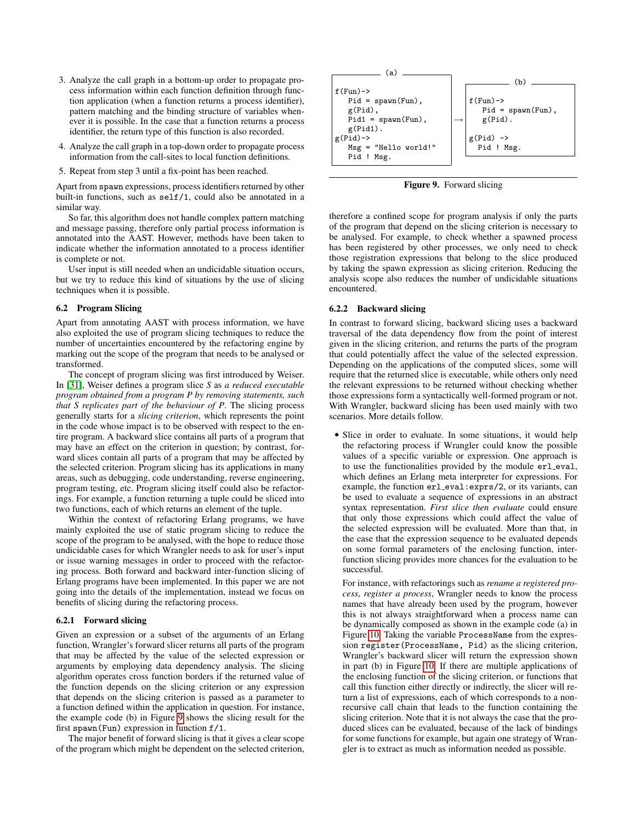- 3. Analyze the call graph in a bottom-up order to propagate process information within each function definition through function application (when a function returns a process identifier), pattern matching and the binding structure of variables whenever it is possible. In the case that a function returns a process identifier, the return type of this function is also recorded.
- 4. Analyze the call graph in a top-down order to propagate process information from the call-sites to local function definitions.
- 5. Repeat from step 3 until a fix-point has been reached.

Apart from spawn expressions, process identifiers returned by other built-in functions, such as self/1, could also be annotated in a similar way.

So far, this algorithm does not handle complex pattern matching and message passing, therefore only partial process information is annotated into the AAST. However, methods have been taken to indicate whether the information annotated to a process identifier is complete or not.

<span id="page-7-1"></span>User input is still needed when an undicidable situation occurs, but we try to reduce this kind of situations by the use of slicing techniques when it is possible.

#### 6.2 Program Slicing

Apart from annotating AAST with process information, we have also exploited the use of program slicing techniques to reduce the number of uncertainties encountered by the refactoring engine by marking out the scope of the program that needs to be analysed or transformed.

The concept of program slicing was first introduced by Weiser. In [\[31\]](#page-10-14), Weiser defines a program slice *S* as *a reduced executable program obtained from a program P by removing statements, such that S replicates part of the behaviour of P*. The slicing process generally starts for a *slicing criterion*, which represents the point in the code whose impact is to be observed with respect to the entire program. A backward slice contains all parts of a program that may have an effect on the criterion in question; by contrast, forward slices contain all parts of a program that may be affected by the selected criterion. Program slicing has its applications in many areas, such as debugging, code understanding, reverse engineering, program testing, etc. Program slicing itself could also be refactorings. For example, a function returning a tuple could be sliced into two functions, each of which returns an element of the tuple.

Within the context of refactoring Erlang programs, we have mainly exploited the use of static program slicing to reduce the scope of the program to be analysed, with the hope to reduce those undicidable cases for which Wrangler needs to ask for user's input or issue warning messages in order to proceed with the refactoring process. Both forward and backward inter-function slicing of Erlang programs have been implemented. In this paper we are not going into the details of the implementation, instead we focus on benefits of slicing during the refactoring process.

#### 6.2.1 Forward slicing

Given an expression or a subset of the arguments of an Erlang function, Wrangler's forward slicer returns all parts of the program that may be affected by the value of the selected expression or arguments by employing data dependency analysis. The slicing algorithm operates cross function borders if the returned value of the function depends on the slicing criterion or any expression that depends on the slicing criterion is passed as a parameter to a function defined within the application in question. For instance, the example code (b) in Figure [9](#page-6-0) shows the slicing result for the first spawn(Fun) expression in function f/1.

<span id="page-7-0"></span>The major benefit of forward slicing is that it gives a clear scope of the program which might be dependent on the selected criterion,



Figure 9. Forward slicing

therefore a confined scope for program analysis if only the parts of the program that depend on the slicing criterion is necessary to be analysed. For example, to check whether a spawned process has been registered by other processes, we only need to check those registration expressions that belong to the slice produced by taking the spawn expression as slicing criterion. Reducing the analysis scope also reduces the number of undicidable situations encountered.

#### 6.2.2 Backward slicing

In contrast to forward slicing, backward slicing uses a backward traversal of the data dependency flow from the point of interest given in the slicing criterion, and returns the parts of the program that could potentially affect the value of the selected expression. Depending on the applications of the computed slices, some will require that the returned slice is executable, while others only need the relevant expressions to be returned without checking whether those expressions form a syntactically well-formed program or not. With Wrangler, backward slicing has been used mainly with two scenarios. More details follow.

• Slice in order to evaluate. In some situations, it would help the refactoring process if Wrangler could know the possible values of a specific variable or expression. One approach is to use the functionalities provided by the module erl\_eval, which defines an Erlang meta interpreter for expressions. For example, the function erl\_eval: exprs/2, or its variants, can be used to evaluate a sequence of expressions in an abstract syntax representation. *First slice then evaluate* could ensure that only those expressions which could affect the value of the selected expression will be evaluated. More than that, in the case that the expression sequence to be evaluated depends on some formal parameters of the enclosing function, interfunction slicing provides more chances for the evaluation to be successful.

For instance, with refactorings such as *rename a registered process*, *register a process*, Wrangler needs to know the process names that have already been used by the program, however this is not always straightforward when a process name can be dynamically composed as shown in the example code (a) in Figure [10.](#page-7-1) Taking the variable ProcessName from the expression register(ProcessName, Pid) as the slicing criterion, Wrangler's backward slicer will return the expression shown in part (b) in Figure [10.](#page-7-1) If there are multiple applications of the enclosing function of the slicing criterion, or functions that call this function either directly or indirectly, the slicer will return a list of expressions, each of which corresponds to a nonrecursive call chain that leads to the function containing the slicing criterion. Note that it is not always the case that the produced slices can be evaluated, because of the lack of bindings for some functions for example, but again one strategy of Wrangler is to extract as much as information needed as possible.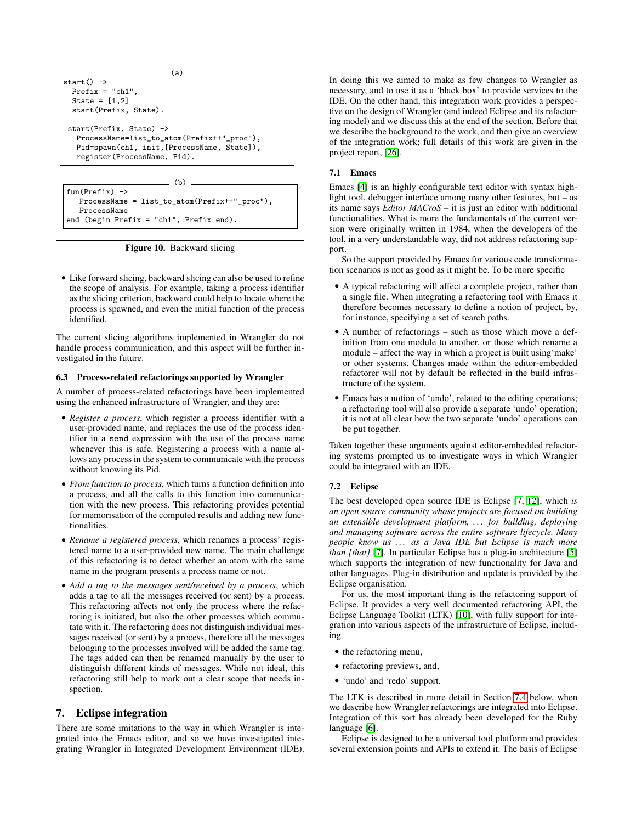

fun(Prefix) -> ProcessName = list\_to\_atom(Prefix++"\_proc"), ProcessName end (begin Prefix = "ch1", Prefix end).

Figure 10. Backward slicing

• Like forward slicing, backward slicing can also be used to refine the scope of analysis. For example, taking a process identifier as the slicing criterion, backward could help to locate where the process is spawned, and even the initial function of the process identified.

The current slicing algorithms implemented in Wrangler do not handle process communication, and this aspect will be further investigated in the future.

#### 6.3 Process-related refactorings supported by Wrangler

A number of process-related refactorings have been implemented using the enhanced infrastructure of Wrangler, and they are:

- *Register a process*, which register a process identifier with a user-provided name, and replaces the use of the process identifier in a send expression with the use of the process name whenever this is safe. Registering a process with a name allows any process in the system to communicate with the process without knowing its Pid.
- *From function to process*, which turns a function definition into a process, and all the calls to this function into communication with the new process. This refactoring provides potential for memorisation of the computed results and adding new functionalities.
- *Rename a registered process*, which renames a process' registered name to a user-provided new name. The main challenge of this refactoring is to detect whether an atom with the same name in the program presents a process name or not.
- *Add a tag to the messages sent/received by a process*, which adds a tag to all the messages received (or sent) by a process. This refactoring affects not only the process where the refactoring is initiated, but also the other processes which commutate with it. The refactoring does not distinguish individual messages received (or sent) by a process, therefore all the messages belonging to the processes involved will be added the same tag. The tags added can then be renamed manually by the user to distinguish different kinds of messages. While not ideal, this refactoring still help to mark out a clear scope that needs inspection.

#### 7. Eclipse integration

There are some imitations to the way in which Wrangler is integrated into the Emacs editor, and so we have investigated integrating Wrangler in Integrated Development Environment (IDE).

In doing this we aimed to make as few changes to Wrangler as necessary, and to use it as a 'black box' to provide services to the IDE. On the other hand, this integration work provides a perspective on the design of Wrangler (and indeed Eclipse and its refactoring model) and we discuss this at the end of the section. Before that we describe the background to the work, and then give an overview of the integration work; full details of this work are given in the project report, [\[26\]](#page-10-15).

#### 7.1 Emacs

Emacs [\[4\]](#page-9-2) is an highly configurable text editor with syntax highlight tool, debugger interface among many other features, but – as its name says *Editor MACroS* – it is just an editor with additional functionalities. What is more the fundamentals of the current version were originally written in 1984, when the developers of the tool, in a very understandable way, did not address refactoring support.

So the support provided by Emacs for various code transformation scenarios is not as good as it might be. To be more specific

- A typical refactoring will affect a complete project, rather than a single file. When integrating a refactoring tool with Emacs it therefore becomes necessary to define a notion of project, by, for instance, specifying a set of search paths.
- <span id="page-8-0"></span>• A number of refactorings – such as those which move a definition from one module to another, or those which rename a module – affect the way in which a project is built using'make' or other systems. Changes made within the editor-embedded refactorer will not by default be reflected in the build infrastructure of the system.
- <span id="page-8-1"></span>• Emacs has a notion of 'undo', related to the editing operations; a refactoring tool will also provide a separate 'undo' operation; it is not at all clear how the two separate 'undo' operations can be put together.

Taken together these arguments against editor-embedded refactoring systems prompted us to investigate ways in which Wrangler could be integrated with an IDE.

#### 7.2 Eclipse

The best developed open source IDE is Eclipse [\[7,](#page-9-4) [12\]](#page-9-7), which *is an open source community whose projects are focused on building an extensible development platform, . . . for building, deploying and managing software across the entire software lifecycle. Many people know us . . . as a Java IDE but Eclipse is much more than [that]* [\[7\]](#page-9-4). In particular Eclipse has a plug-in architecture [\[5\]](#page-9-8) which supports the integration of new functionality for Java and other languages. Plug-in distribution and update is provided by the Eclipse organisation.

For us, the most important thing is the refactoring support of Eclipse. It provides a very well documented refactoring API, the Eclipse Language Toolkit (LTK) [\[10\]](#page-9-9), with fully support for integration into various aspects of the infrastructure of Eclipse, including

- the refactoring menu,
- refactoring previews, and,
- 'undo' and 'redo' support.

The LTK is described in more detail in Section [7.4](#page-8-1) below, when we describe how Wrangler refactorings are integrated into Eclipse. Integration of this sort has already been developed for the Ruby language [\[6\]](#page-9-10).

Eclipse is designed to be a universal tool platform and provides several extension points and APIs to extend it. The basis of Eclipse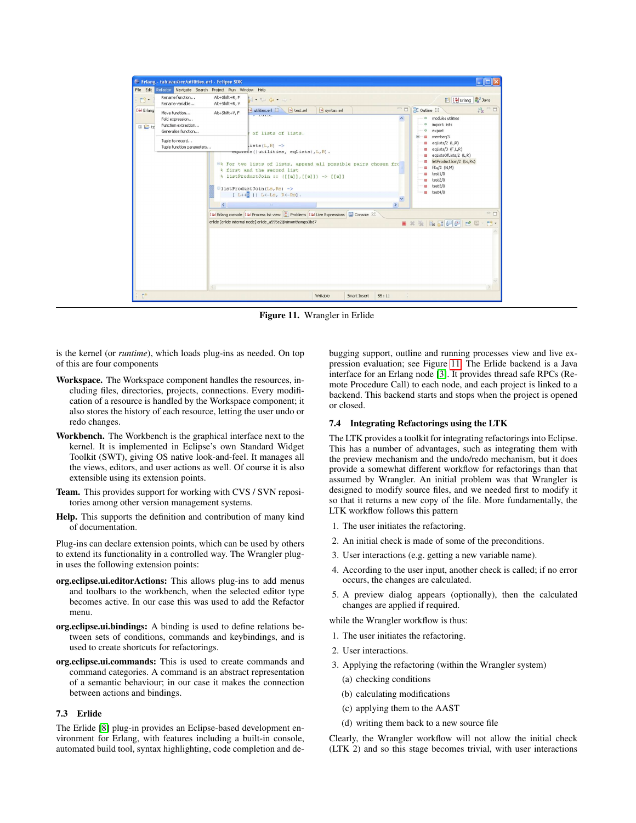<span id="page-9-3"></span>

Figure 11. Wrangler in Erlide

is the kernel (or *runtime*), which loads plug-ins as needed. On top of this are four components

- Workspace. The Workspace component handles the resources, including files, directories, projects, connections. Every modification of a resource is handled by the Workspace component; it also stores the history of each resource, letting the user undo or redo changes.
- Workbench. The Workbench is the graphical interface next to the kernel. It is implemented in Eclipse's own Standard Widget Toolkit (SWT), giving OS native look-and-feel. It manages all the views, editors, and user actions as well. Of course it is also extensible using its extension points.
- Team. This provides support for working with CVS / SVN repositories among other version management systems.
- Help. This supports the definition and contribution of many kind of documentation.

Plug-ins can declare extension points, which can be used by others to extend its functionality in a controlled way. The Wrangler plugin uses the following extension points:

- org.eclipse.ui.editorActions: This allows plug-ins to add menus and toolbars to the workbench, when the selected editor type becomes active. In our case this was used to add the Refactor menu.
- org.eclipse.ui.bindings: A binding is used to define relations between sets of conditions, commands and keybindings, and is used to create shortcuts for refactorings.
- org.eclipse.ui.commands: This is used to create commands and command categories. A command is an abstract representation of a semantic behaviour; in our case it makes the connection between actions and bindings.

#### 7.3 Erlide

<span id="page-9-13"></span>The Erlide [\[8\]](#page-9-11) plug-in provides an Eclipse-based development environment for Erlang, with features including a built-in console, automated build tool, syntax highlighting, code completion and debugging support, outline and running processes view and live expression evaluation; see Figure [11.](#page-8-0) The Erlide backend is a Java interface for an Erlang node [\[3\]](#page-9-12). It provides thread safe RPCs (Remote Procedure Call) to each node, and each project is linked to a backend. This backend starts and stops when the project is opened or closed.

#### 7.4 Integrating Refactorings using the LTK

<span id="page-9-6"></span>The LTK provides a toolkit for integrating refactorings into Eclipse. This has a number of advantages, such as integrating them with the preview mechanism and the undo/redo mechanism, but it does provide a somewhat different workflow for refactorings than that assumed by Wrangler. An initial problem was that Wrangler is designed to modify source files, and we needed first to modify it so that it returns a new copy of the file. More fundamentally, the LTK workflow follows this pattern

- <span id="page-9-12"></span><span id="page-9-2"></span>1. The user initiates the refactoring.
- 2. An initial check is made of some of the preconditions.
- <span id="page-9-8"></span>3. User interactions (e.g. getting a new variable name).
- <span id="page-9-10"></span>4. According to the user input, another check is called; if no error occurs, the changes are calculated.
- <span id="page-9-4"></span>5. A preview dialog appears (optionally), then the calculated changes are applied if required.

<span id="page-9-11"></span>while the Wrangler workflow is thus:

- <span id="page-9-0"></span>1. The user initiates the refactoring.
- <span id="page-9-9"></span>2. User interactions.
- 3. Applying the refactoring (within the Wrangler system)
- <span id="page-9-5"></span>(a) checking conditions
- (b) calculating modifications
- <span id="page-9-7"></span>(c) applying them to the AAST
- (d) writing them back to a new source file

<span id="page-9-1"></span>Clearly, the Wrangler workflow will not allow the initial check (LTK 2) and so this stage becomes trivial, with user interactions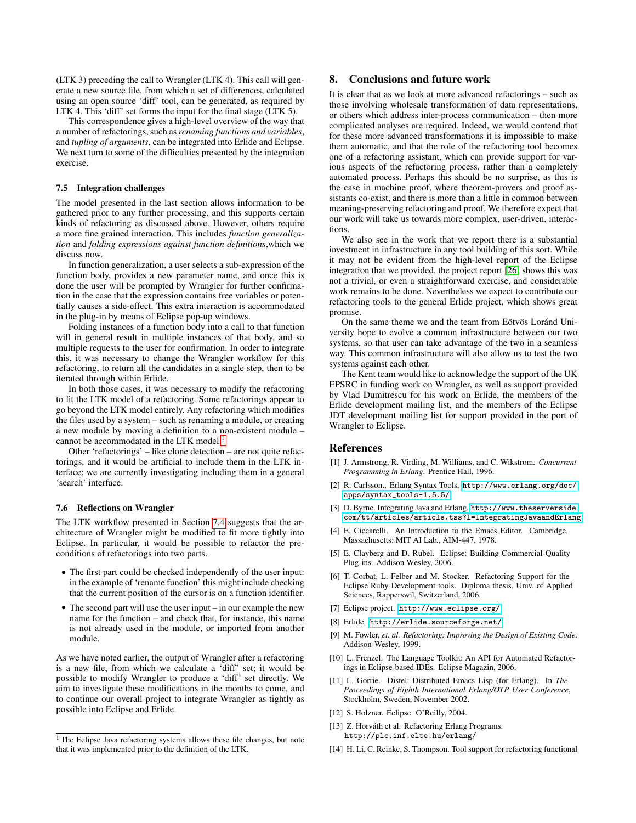<span id="page-10-1"></span>(LTK 3) preceding the call to Wrangler (LTK 4). This call will generate a new source file, from which a set of differences, calculated using an open source 'diff' tool, can be generated, as required by LTK 4. This 'diff' set forms the input for the final stage (LTK 5).

<span id="page-10-6"></span><span id="page-10-2"></span>This correspondence gives a high-level overview of the way that a number of refactorings, such as*renaming functions and variables*, and *tupling of arguments*, can be integrated into Erlide and Eclipse. We next turn to some of the difficulties presented by the integration exercise.

#### <span id="page-10-9"></span>7.5 Integration challenges

<span id="page-10-7"></span>The model presented in the last section allows information to be gathered prior to any further processing, and this supports certain kinds of refactoring as discussed above. However, others require a more fine grained interaction. This includes *function generalization* and *folding expressions against function definitions*,which we discuss now.

<span id="page-10-8"></span><span id="page-10-5"></span>In function generalization, a user selects a sub-expression of the function body, provides a new parameter name, and once this is done the user will be prompted by Wrangler for further confirmation in the case that the expression contains free variables or potentially causes a side-effect. This extra interaction is accommodated in the plug-in by means of Eclipse pop-up windows.

<span id="page-10-12"></span><span id="page-10-10"></span>Folding instances of a function body into a call to that function will in general result in multiple instances of that body, and so multiple requests to the user for confirmation. In order to integrate this, it was necessary to change the Wrangler workflow for this refactoring, to return all the candidates in a single step, then to be iterated through within Erlide.

<span id="page-10-11"></span><span id="page-10-0"></span>In both those cases, it was necessary to modify the refactoring to fit the LTK model of a refactoring. Some refactorings appear to go beyond the LTK model entirely. Any refactoring which modifies the files used by a system – such as renaming a module, or creating a new module by moving a definition to a non-existent module – cannot be accommodated in the LTK model.<sup>[1](#page-9-13)</sup>

<span id="page-10-15"></span><span id="page-10-13"></span>Other 'refactorings' – like clone detection – are not quite refactorings, and it would be artificial to include them in the LTK interface; we are currently investigating including them in a general 'search' interface.

#### 7.6 Reflections on Wrangler

<span id="page-10-4"></span>The LTK workflow presented in Section [7.4](#page-8-1) suggests that the architecture of Wrangler might be modified to fit more tightly into Eclipse. In particular, it would be possible to refactor the preconditions of refactorings into two parts.

- <span id="page-10-14"></span><span id="page-10-3"></span>• The first part could be checked independently of the user input: in the example of 'rename function' this might include checking that the current position of the cursor is on a function identifier.
- The second part will use the user input in our example the new name for the function – and check that, for instance, this name is not already used in the module, or imported from another module.

As we have noted earlier, the output of Wrangler after a refactoring is a new file, from which we calculate a 'diff' set; it would be possible to modify Wrangler to produce a 'diff' set directly. We aim to investigate these modifications in the months to come, and to continue our overall project to integrate Wrangler as tightly as possible into Eclipse and Erlide.

#### 8. Conclusions and future work

It is clear that as we look at more advanced refactorings – such as those involving wholesale transformation of data representations, or others which address inter-process communication – then more complicated analyses are required. Indeed, we would contend that for these more advanced transformations it is impossible to make them automatic, and that the role of the refactoring tool becomes one of a refactoring assistant, which can provide support for various aspects of the refactoring process, rather than a completely automated process. Perhaps this should be no surprise, as this is the case in machine proof, where theorem-provers and proof assistants co-exist, and there is more than a little in common between meaning-preserving refactoring and proof. We therefore expect that our work will take us towards more complex, user-driven, interactions.

We also see in the work that we report there is a substantial investment in infrastructure in any tool building of this sort. While it may not be evident from the high-level report of the Eclipse integration that we provided, the project report [\[26\]](#page-10-15) shows this was not a trivial, or even a straightforward exercise, and considerable work remains to be done. Nevertheless we expect to contribute our refactoring tools to the general Erlide project, which shows great promise.

On the same theme we and the team from Eötvös Loránd University hope to evolve a common infrastructure between our two systems, so that user can take advantage of the two in a seamless way. This common infrastructure will also allow us to test the two systems against each other.

The Kent team would like to acknowledge the support of the UK EPSRC in funding work on Wrangler, as well as support provided by Vlad Dumitrescu for his work on Erlide, the members of the Erlide development mailing list, and the members of the Eclipse JDT development mailing list for support provided in the port of Wrangler to Eclipse.

#### References

- [1] J. Armstrong, R. Virding, M. Williams, and C. Wikstrom. *Concurrent Programming in Erlang*. Prentice Hall, 1996.
- [2] R. Carlsson., Erlang Syntax Tools, [http://www.erlang.org/doc/](http://www.erlang.org/doc/apps/syntax_tools-1.5.5/) [apps/syntax\\_tools-1.5.5/](http://www.erlang.org/doc/apps/syntax_tools-1.5.5/).
- [3] D. Byrne. Integrating Java and Erlang. [http://www.theserverside.](http://www.theserverside.com/tt/articles/article.tss?l=IntegratingJavaandErlang) [com/tt/articles/article.tss?l=IntegratingJavaandErlang](http://www.theserverside.com/tt/articles/article.tss?l=IntegratingJavaandErlang).
- [4] E. Ciccarelli. An Introduction to the Emacs Editor. Cambridge, Massachusetts: MIT AI Lab., AIM-447, 1978.
- [5] E. Clayberg and D. Rubel. Eclipse: Building Commercial-Quality Plug-ins. Addison Wesley, 2006.
- [6] T. Corbat, L. Felber and M. Stocker. Refactoring Support for the Eclipse Ruby Development tools. Diploma thesis, Univ. of Applied Sciences, Rapperswil, Switzerland, 2006.
- [7] Eclipse project. <http://www.eclipse.org/>.
- [8] Erlide. <http://erlide.sourceforge.net/>.
- [9] M. Fowler, *et. al. Refactoring: Improving the Design of Existing Code*. Addison-Wesley, 1999.
- [10] L. Frenzel. The Language Toolkit: An API for Automated Refactorings in Eclipse-based IDEs. Eclipse Magazin, 2006.
- [11] L. Gorrie. Distel: Distributed Emacs Lisp (for Erlang). In *The Proceedings of Eighth International Erlang/OTP User Conference*, Stockholm, Sweden, November 2002.
- [12] S. Holzner. Eclipse. O'Reilly, 2004.
- [13] Z. Horváth et al. Refactoring Erlang Programs. http://plc.inf.elte.hu/erlang/
- [14] H. Li, C. Reinke, S. Thompson. Tool support for refactoring functional

<sup>&</sup>lt;sup>1</sup> The Eclipse Java refactoring systems allows these file changes, but note that it was implemented prior to the definition of the LTK.